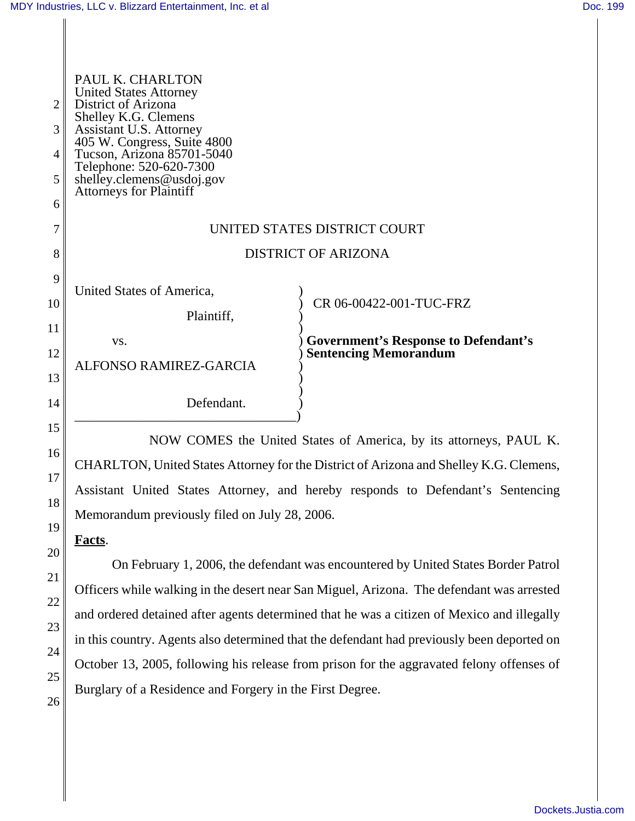| $\overline{2}$<br>3<br>4<br>5<br>6                           | PAUL K. CHARLTON<br><b>United States Attorney</b><br>District of Arizona<br>Shelley K.G. Clemens<br>Assistant U.S. Attorney<br>405 W. Congress, Suite 4800<br>Tucson, Arizona 85701-5040<br>Telephone: 520-620-7300<br>shelley.clemens@usdoj.gov<br>Attorneys for Plaintiff |                                                                                                        |  |
|--------------------------------------------------------------|-----------------------------------------------------------------------------------------------------------------------------------------------------------------------------------------------------------------------------------------------------------------------------|--------------------------------------------------------------------------------------------------------|--|
| 7                                                            | UNITED STATES DISTRICT COURT                                                                                                                                                                                                                                                |                                                                                                        |  |
| 8                                                            | <b>DISTRICT OF ARIZONA</b>                                                                                                                                                                                                                                                  |                                                                                                        |  |
| 9<br>$\overline{0}$<br>$\overline{1}$<br>$\overline{2}$<br>3 | United States of America,<br>Plaintiff,<br>VS.<br>ALFONSO RAMIREZ-GARCIA                                                                                                                                                                                                    | CR 06-00422-001-TUC-FRZ<br><b>Government's Response to Defendant's</b><br><b>Sentencing Memorandum</b> |  |
| $\overline{4}$                                               | Defendant.                                                                                                                                                                                                                                                                  |                                                                                                        |  |

NOW COMES the United States of America, by its attorneys, PAUL K. CHARLTON, United States Attorney for the District of Arizona and Shelley K.G. Clemens, Assistant United States Attorney, and hereby responds to Defendant's Sentencing Memorandum previously filed on July 28, 2006.

**Facts**.

On February 1, 2006, the defendant was encountered by United States Border Patrol Officers while walking in the desert near San Miguel, Arizona. The defendant was arrested and ordered detained after agents determined that he was a citizen of Mexico and illegally in this country. Agents also determined that the defendant had previously been deported on October 13, 2005, following his release from prison for the aggravated felony offenses of Burglary of a Residence and Forgery in the First Degree.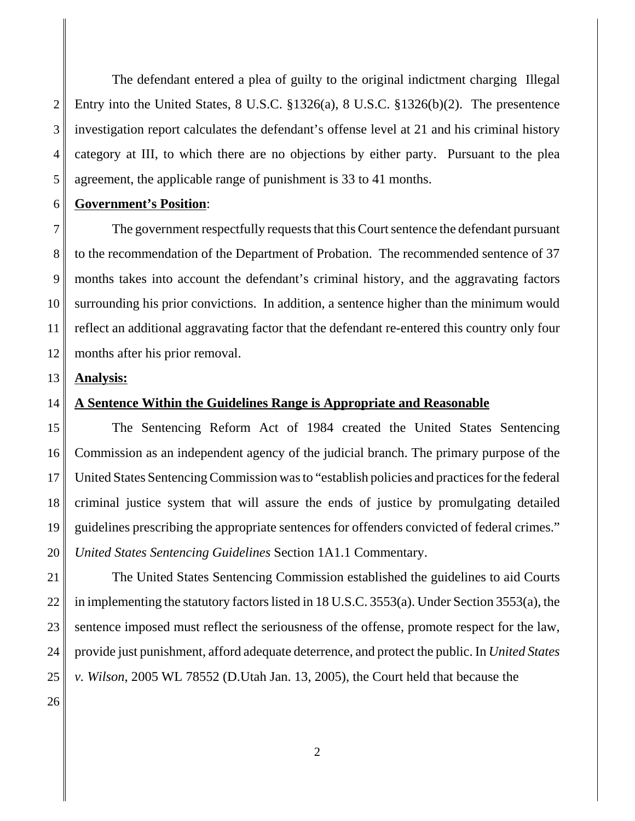2 3 4 5 The defendant entered a plea of guilty to the original indictment charging Illegal Entry into the United States, 8 U.S.C. §1326(a), 8 U.S.C. §1326(b)(2). The presentence investigation report calculates the defendant's offense level at 21 and his criminal history category at III, to which there are no objections by either party. Pursuant to the plea agreement, the applicable range of punishment is 33 to 41 months.

#### 6 **Government's Position**:

7 8 9 10 11 12 The government respectfully requests that this Court sentence the defendant pursuant to the recommendation of the Department of Probation. The recommended sentence of 37 months takes into account the defendant's criminal history, and the aggravating factors surrounding his prior convictions. In addition, a sentence higher than the minimum would reflect an additional aggravating factor that the defendant re-entered this country only four months after his prior removal.

### 13 **Analysis:**

#### 14 **A Sentence Within the Guidelines Range is Appropriate and Reasonable**

15 16 17 18 19 20 The Sentencing Reform Act of 1984 created the United States Sentencing Commission as an independent agency of the judicial branch. The primary purpose of the United States Sentencing Commission was to "establish policies and practices for the federal criminal justice system that will assure the ends of justice by promulgating detailed guidelines prescribing the appropriate sentences for offenders convicted of federal crimes." *United States Sentencing Guidelines* Section 1A1.1 Commentary.

21 22 23 24 25 The United States Sentencing Commission established the guidelines to aid Courts in implementing the statutory factors listed in 18 U.S.C. 3553(a). Under Section 3553(a), the sentence imposed must reflect the seriousness of the offense, promote respect for the law, provide just punishment, afford adequate deterrence, and protect the public. In *United States v. Wilson*, 2005 WL 78552 (D.Utah Jan. 13, 2005), the Court held that because the

26

2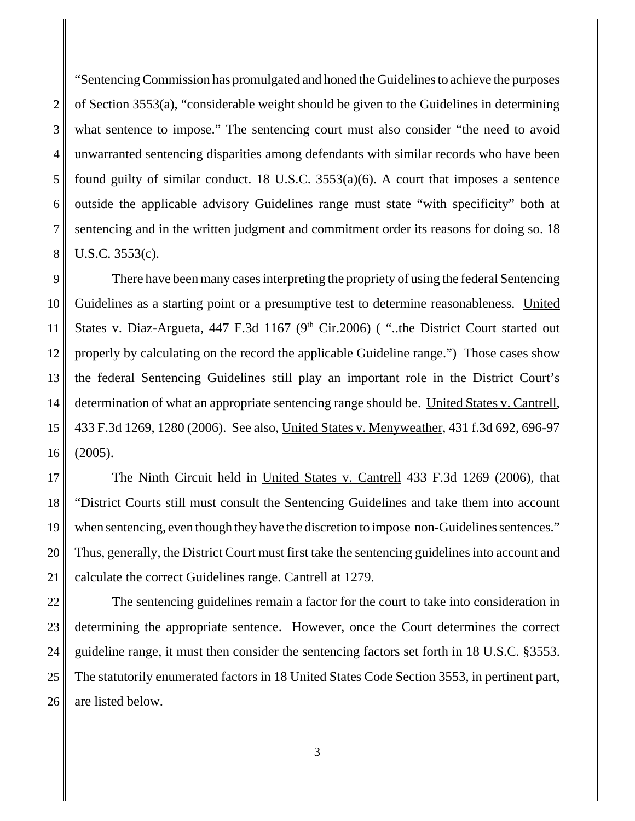2 3 4 5 6 7 8 "Sentencing Commission has promulgated and honed the Guidelines to achieve the purposes of Section 3553(a), "considerable weight should be given to the Guidelines in determining what sentence to impose." The sentencing court must also consider "the need to avoid unwarranted sentencing disparities among defendants with similar records who have been found guilty of similar conduct. 18 U.S.C. 3553(a)(6). A court that imposes a sentence outside the applicable advisory Guidelines range must state "with specificity" both at sentencing and in the written judgment and commitment order its reasons for doing so. 18 U.S.C. 3553(c).

9 10 11 12 13 14 15 16 There have been many cases interpreting the propriety of using the federal Sentencing Guidelines as a starting point or a presumptive test to determine reasonableness. United States v. Diaz-Argueta, 447 F.3d 1167 ( $9<sup>th</sup>$  Cir.2006) ("..the District Court started out properly by calculating on the record the applicable Guideline range.") Those cases show the federal Sentencing Guidelines still play an important role in the District Court's determination of what an appropriate sentencing range should be. United States v. Cantrell, 433 F.3d 1269, 1280 (2006). See also, United States v. Menyweather, 431 f.3d 692, 696-97 (2005).

17 18 19 20 21 The Ninth Circuit held in United States v. Cantrell 433 F.3d 1269 (2006), that "District Courts still must consult the Sentencing Guidelines and take them into account when sentencing, even though they have the discretion to impose non-Guidelines sentences." Thus, generally, the District Court must first take the sentencing guidelines into account and calculate the correct Guidelines range. Cantrell at 1279.

22 23 24 25 26 The sentencing guidelines remain a factor for the court to take into consideration in determining the appropriate sentence. However, once the Court determines the correct guideline range, it must then consider the sentencing factors set forth in 18 U.S.C. §3553. The statutorily enumerated factors in 18 United States Code Section 3553, in pertinent part, are listed below.

3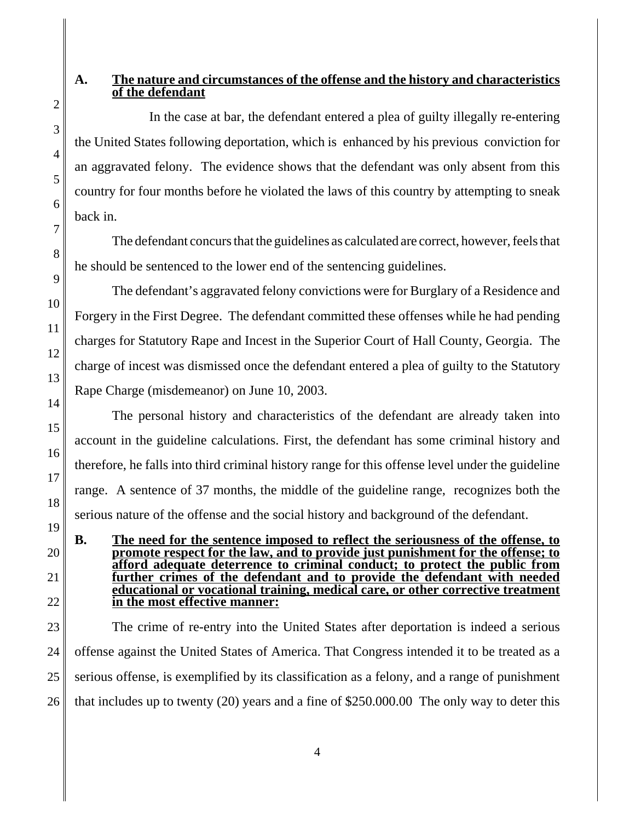## **A. The nature and circumstances of the offense and the history and characteristics of the defendant**

In the case at bar, the defendant entered a plea of guilty illegally re-entering the United States following deportation, which is enhanced by his previous conviction for an aggravated felony. The evidence shows that the defendant was only absent from this country for four months before he violated the laws of this country by attempting to sneak back in.

The defendant concurs that the guidelines as calculated are correct, however, feels that he should be sentenced to the lower end of the sentencing guidelines.

The defendant's aggravated felony convictions were for Burglary of a Residence and Forgery in the First Degree. The defendant committed these offenses while he had pending charges for Statutory Rape and Incest in the Superior Court of Hall County, Georgia. The charge of incest was dismissed once the defendant entered a plea of guilty to the Statutory Rape Charge (misdemeanor) on June 10, 2003.

The personal history and characteristics of the defendant are already taken into account in the guideline calculations. First, the defendant has some criminal history and therefore, he falls into third criminal history range for this offense level under the guideline range. A sentence of 37 months, the middle of the guideline range, recognizes both the serious nature of the offense and the social history and background of the defendant.

**B. The need for the sentence imposed to reflect the seriousness of the offense, to promote respect for the law, and to provide just punishment for the offense; to afford adequate deterrence to criminal conduct; to protect the public from further crimes of the defendant and to provide the defendant with needed educational or vocational training, medical care, or other corrective treatment in the most effective manner:**

23 24 25 26 The crime of re-entry into the United States after deportation is indeed a serious offense against the United States of America. That Congress intended it to be treated as a serious offense, is exemplified by its classification as a felony, and a range of punishment that includes up to twenty (20) years and a fine of \$250.000.00 The only way to deter this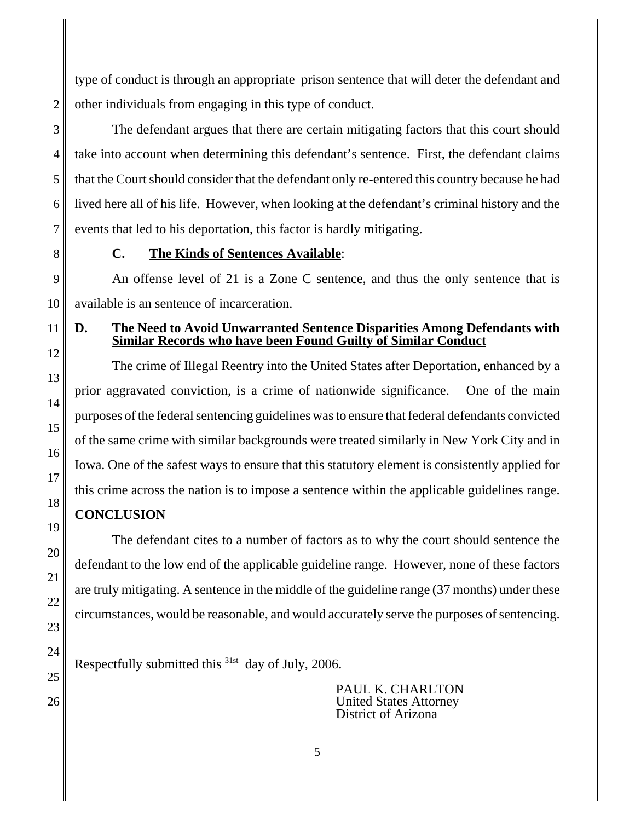type of conduct is through an appropriate prison sentence that will deter the defendant and other individuals from engaging in this type of conduct.

2

3 4 5 6 7 The defendant argues that there are certain mitigating factors that this court should take into account when determining this defendant's sentence. First, the defendant claims that the Court should consider that the defendant only re-entered this country because he had lived here all of his life. However, when looking at the defendant's criminal history and the events that led to his deportation, this factor is hardly mitigating.

8

13

14

15

16

17

18

19

20

21

22

23

24

25

26

## **C. The Kinds of Sentences Available**:

9 10 An offense level of 21 is a Zone C sentence, and thus the only sentence that is available is an sentence of incarceration.

### 11 12 **D. The Need to Avoid Unwarranted Sentence Disparities Among Defendants with Similar Records who have been Found Guilty of Similar Conduct**

The crime of Illegal Reentry into the United States after Deportation, enhanced by a prior aggravated conviction, is a crime of nationwide significance. One of the main purposes of the federal sentencing guidelines was to ensure that federal defendants convicted of the same crime with similar backgrounds were treated similarly in New York City and in Iowa. One of the safest ways to ensure that this statutory element is consistently applied for this crime across the nation is to impose a sentence within the applicable guidelines range.

# **CONCLUSION**

The defendant cites to a number of factors as to why the court should sentence the defendant to the low end of the applicable guideline range. However, none of these factors are truly mitigating. A sentence in the middle of the guideline range (37 months) under these circumstances, would be reasonable, and would accurately serve the purposes of sentencing.

Respectfully submitted this  $31st$  day of July, 2006.

PAUL K. CHARLTON United States Attorney District of Arizona